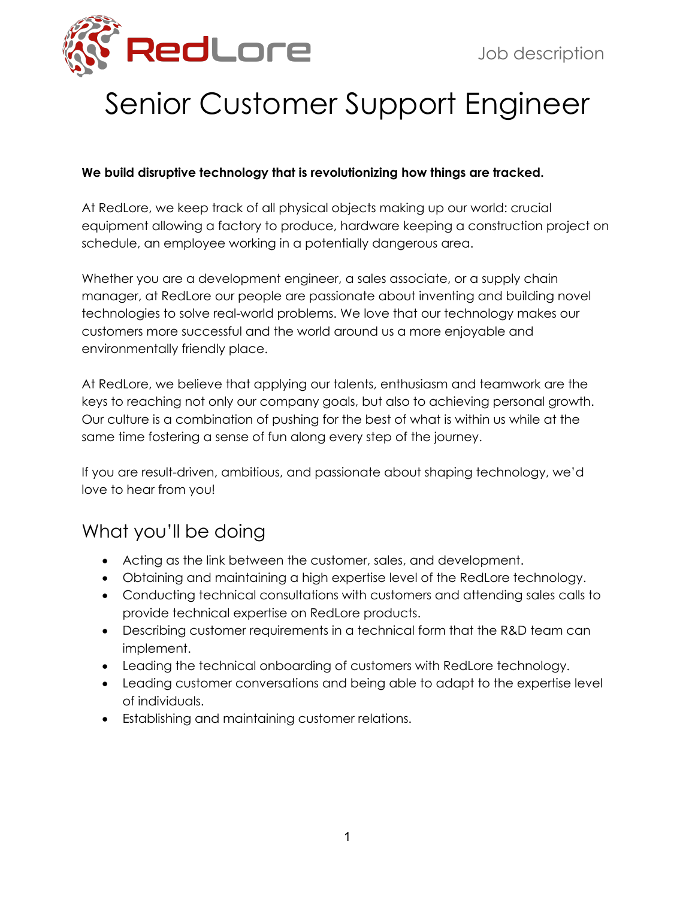

# Senior Customer Support Engineer

#### **We build disruptive technology that is revolutionizing how things are tracked.**

At RedLore, we keep track of all physical objects making up our world: crucial equipment allowing a factory to produce, hardware keeping a construction project on schedule, an employee working in a potentially dangerous area.

Whether you are a development engineer, a sales associate, or a supply chain manager, at RedLore our people are passionate about inventing and building novel technologies to solve real-world problems. We love that our technology makes our customers more successful and the world around us a more enjoyable and environmentally friendly place.

At RedLore, we believe that applying our talents, enthusiasm and teamwork are the keys to reaching not only our company goals, but also to achieving personal growth. Our culture is a combination of pushing for the best of what is within us while at the same time fostering a sense of fun along every step of the journey.

If you are result-driven, ambitious, and passionate about shaping technology, we'd love to hear from you!

# What you'll be doing

- Acting as the link between the customer, sales, and development.
- Obtaining and maintaining a high expertise level of the RedLore technology.
- Conducting technical consultations with customers and attending sales calls to provide technical expertise on RedLore products.
- Describing customer requirements in a technical form that the R&D team can implement.
- Leading the technical onboarding of customers with RedLore technology.
- Leading customer conversations and being able to adapt to the expertise level of individuals.
- Establishing and maintaining customer relations.